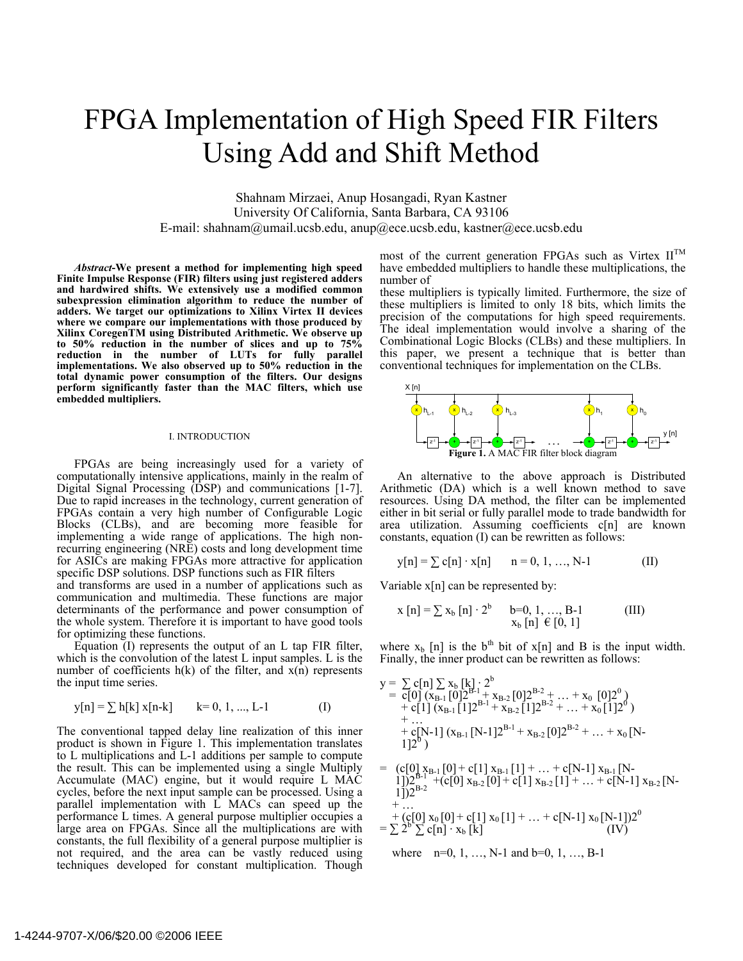# FPGA Implementation of High Speed FIR Filters Using Add and Shift Method

Shahnam Mirzaei, Anup Hosangadi, Ryan Kastner University Of California, Santa Barbara, CA 93106 E-mail: shahnam@umail.ucsb.edu, anup@ece.ucsb.edu, kastner@ece.ucsb.edu

*Abstract***-We present a method for implementing high speed Finite Impulse Response (FIR) filters using just registered adders and hardwired shifts. We extensively use a modified common subexpression elimination algorithm to reduce the number of adders. We target our optimizations to Xilinx Virtex II devices where we compare our implementations with those produced by Xilinx CoregenTM using Distributed Arithmetic. We observe up to 50% reduction in the number of slices and up to 75% reduction in the number of LUTs for fully parallel implementations. We also observed up to 50% reduction in the total dynamic power consumption of the filters. Our designs perform significantly faster than the MAC filters, which use embedded multipliers.**

## I. INTRODUCTION

FPGAs are being increasingly used for a variety of computationally intensive applications, mainly in the realm of Digital Signal Processing (DSP) and communications [1-7]. Due to rapid increases in the technology, current generation of FPGAs contain a very high number of Configurable Logic Blocks (CLBs), and are becoming more feasible for implementing a wide range of applications. The high nonrecurring engineering (NRE) costs and long development time for ASICs are making FPGAs more attractive for application specific DSP solutions. DSP functions such as FIR filters

and transforms are used in a number of applications such as communication and multimedia. These functions are major determinants of the performance and power consumption of the whole system. Therefore it is important to have good tools for optimizing these functions.

Equation (I) represents the output of an L tap FIR filter, which is the convolution of the latest L input samples. L is the number of coefficients  $h(k)$  of the filter, and  $x(n)$  represents the input time series.

$$
y[n] = \sum h[k] x[n-k] \qquad k=0, 1, ..., L-1 \tag{I}
$$

The conventional tapped delay line realization of this inner product is shown in Figure 1. This implementation translates to L multiplications and L-1 additions per sample to compute the result. This can be implemented using a single Multiply Accumulate (MAC) engine, but it would require L MAC cycles, before the next input sample can be processed. Using a parallel implementation with L MACs can speed up the performance L times. A general purpose multiplier occupies a large area on FPGAs. Since all the multiplications are with constants, the full flexibility of a general purpose multiplier is not required, and the area can be vastly reduced using techniques developed for constant multiplication. Though most of the current generation FPGAs such as Virtex  $II<sup>TM</sup>$ have embedded multipliers to handle these multiplications, the number of

these multipliers is typically limited. Furthermore, the size of these multipliers is limited to only 18 bits, which limits the precision of the computations for high speed requirements. The ideal implementation would involve a sharing of the Combinational Logic Blocks (CLBs) and these multipliers. In this paper, we present a technique that is better than conventional techniques for implementation on the CLBs.



 An alternative to the above approach is Distributed Arithmetic (DA) which is a well known method to save resources. Using DA method, the filter can be implemented either in bit serial or fully parallel mode to trade bandwidth for area utilization. Assuming coefficients c[n] are known constants, equation (I) can be rewritten as follows:

$$
y[n] = \sum c[n] \cdot x[n] \qquad n = 0, 1, ..., N-1 \tag{II}
$$

Variable x[n] can be represented by:

$$
x[n] = \sum x_b[n] \cdot 2^b \qquad b=0, 1, ..., B-1
$$
  
\n
$$
x_b[n] \in [0, 1]
$$
 (III)

where  $x_b$  [n] is the  $b^{th}$  bit of  $x[n]$  and B is the input width. Finally, the inner product can be rewritten as follows:

$$
y = \sum_{i} c[n] \sum_{i} x_{b} [k] \cdot 2^{b}
$$
  
\n
$$
= c[0] (x_{B-1}[0]2^{B-1} + x_{B-2}[0]2^{B-2} + ... + x_{0}[0]2^{0})
$$
  
\n
$$
+ c[1] (x_{B-1}[1]2^{B-1} + x_{B-2}[1]2^{B-2} + ... + x_{0}[1]2^{0})
$$
  
\n
$$
+ ...
$$
  
\n
$$
+ c[N-1] (x_{B-1}[N-1]2^{B-1} + x_{B-2}[0]2^{B-2} + ... + x_{0}[N-1]2^{0})
$$
  
\n
$$
= (c[0] x_{B-1}[0] + c[1] x_{B-1}[1] + ... + c[N-1] x_{B-1}[N-1])2^{B-1}
$$
  
\n
$$
= (1)2^{B-1} + (c[0] x_{B-2}[0] + c[1] x_{B-2}[1] + ... + c[N-1] x_{B-2}[N-1])2^{0}
$$
  
\n
$$
+ ...
$$
  
\n
$$
+ (c[0] x_{0}[0] + c[1] x_{0}[1] + ... + c[N-1] x_{0}[N-1])2^{0}
$$
  
\n
$$
= \sum_{i} 2^{b} \sum_{i} c[n] \cdot x_{b}[k]
$$

where  $n=0, 1, ..., N-1$  and  $b=0, 1, ..., B-1$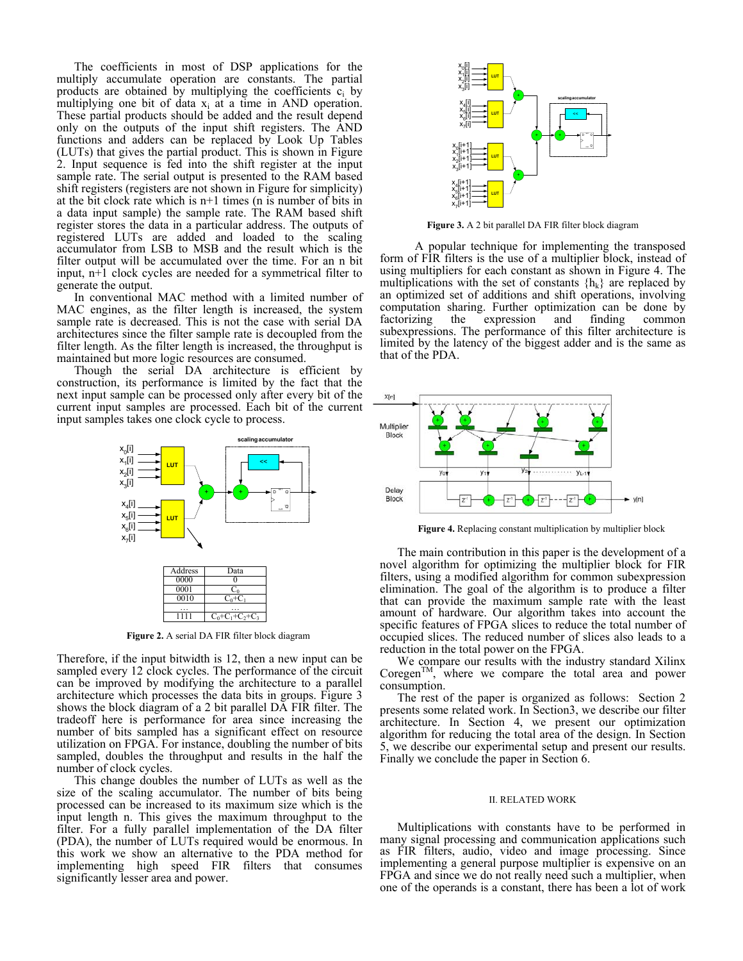The coefficients in most of DSP applications for the multiply accumulate operation are constants. The partial products are obtained by multiplying the coefficients  $c_i$  by multiplying one bit of data  $x_i$  at a time in AND operation. These partial products should be added and the result depend only on the outputs of the input shift registers. The AND functions and adders can be replaced by Look Up Tables (LUTs) that gives the partial product. This is shown in Figure 2. Input sequence is fed into the shift register at the input sample rate. The serial output is presented to the RAM based shift registers (registers are not shown in Figure for simplicity) at the bit clock rate which is n+1 times (n is number of bits in a data input sample) the sample rate. The RAM based shift register stores the data in a particular address. The outputs of registered LUTs are added and loaded to the scaling accumulator from LSB to MSB and the result which is the filter output will be accumulated over the time. For an n bit input, n+1 clock cycles are needed for a symmetrical filter to generate the output.

In conventional MAC method with a limited number of MAC engines, as the filter length is increased, the system sample rate is decreased. This is not the case with serial DA architectures since the filter sample rate is decoupled from the filter length. As the filter length is increased, the throughput is maintained but more logic resources are consumed.

Though the serial DA architecture is efficient by construction, its performance is limited by the fact that the next input sample can be processed only after every bit of the current input samples are processed. Each bit of the current input samples takes one clock cycle to process.



1111  $C_0 + C_1 + C_2 + C_3$ **Figure 2.** A serial DA FIR filter block diagram

Therefore, if the input bitwidth is 12, then a new input can be sampled every 12 clock cycles. The performance of the circuit can be improved by modifying the architecture to a parallel architecture which processes the data bits in groups. Figure 3 shows the block diagram of a 2 bit parallel DA FIR filter. The tradeoff here is performance for area since increasing the number of bits sampled has a significant effect on resource utilization on FPGA. For instance, doubling the number of bits sampled, doubles the throughput and results in the half the number of clock cycles.

 This change doubles the number of LUTs as well as the size of the scaling accumulator. The number of bits being processed can be increased to its maximum size which is the input length n. This gives the maximum throughput to the filter. For a fully parallel implementation of the DA filter (PDA), the number of LUTs required would be enormous. In this work we show an alternative to the PDA method for implementing high speed FIR filters that consumes significantly lesser area and power.



**Figure 3.** A 2 bit parallel DA FIR filter block diagram

 A popular technique for implementing the transposed form of FIR filters is the use of a multiplier block, instead of using multipliers for each constant as shown in Figure 4. The multiplications with the set of constants  $\{h_k\}$  are replaced by an optimized set of additions and shift operations, involving computation sharing. Further optimization can be done by factorizing the expression and finding common subexpressions. The performance of this filter architecture is limited by the latency of the biggest adder and is the same as that of the PDA.



 **Figure 4.** Replacing constant multiplication by multiplier block

The main contribution in this paper is the development of a novel algorithm for optimizing the multiplier block for FIR filters, using a modified algorithm for common subexpression elimination. The goal of the algorithm is to produce a filter that can provide the maximum sample rate with the least amount of hardware. Our algorithm takes into account the specific features of FPGA slices to reduce the total number of occupied slices. The reduced number of slices also leads to a reduction in the total power on the FPGA.

We compare our results with the industry standard Xilinx  $\text{Coregen}^{\text{TM}}$ , where we compare the total area and power consumption.

The rest of the paper is organized as follows: Section 2 presents some related work. In Section3, we describe our filter architecture. In Section 4, we present our optimization algorithm for reducing the total area of the design. In Section 5, we describe our experimental setup and present our results. Finally we conclude the paper in Section 6.

#### II. RELATED WORK

 Multiplications with constants have to be performed in many signal processing and communication applications such as FIR filters, audio, video and image processing. Since implementing a general purpose multiplier is expensive on an FPGA and since we do not really need such a multiplier, when one of the operands is a constant, there has been a lot of work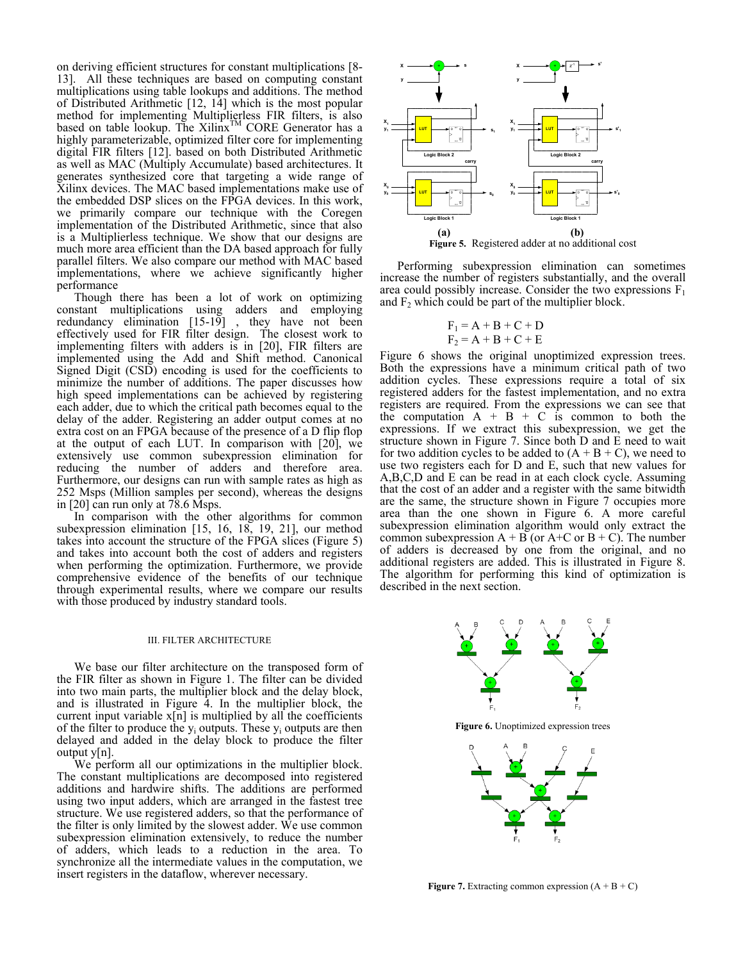on deriving efficient structures for constant multiplications [8- 13]. All these techniques are based on computing constant multiplications using table lookups and additions. The method of Distributed Arithmetic [12, 14] which is the most popular method for implementing Multiplierless FIR filters, is also based on table lookup. The Xilinx<sup>TM</sup> CORE Generator has a highly parameterizable, optimized filter core for implementing digital FIR filters [12]. based on both Distributed Arithmetic as well as MAC (Multiply Accumulate) based architectures. It generates synthesized core that targeting a wide range of Xilinx devices. The MAC based implementations make use of the embedded DSP slices on the FPGA devices. In this work, we primarily compare our technique with the Coregen implementation of the Distributed Arithmetic, since that also is a Multiplierless technique. We show that our designs are much more area efficient than the DA based approach for fully parallel filters. We also compare our method with MAC based implementations, where we achieve significantly higher performance

 Though there has been a lot of work on optimizing constant multiplications using adders and employing redundancy elimination [15-19] , they have not been effectively used for FIR filter design. The closest work to implementing filters with adders is in [20], FIR filters are implemented using the Add and Shift method. Canonical Signed Digit (CSD) encoding is used for the coefficients to minimize the number of additions. The paper discusses how high speed implementations can be achieved by registering each adder, due to which the critical path becomes equal to the delay of the adder. Registering an adder output comes at no extra cost on an FPGA because of the presence of a D flip flop at the output of each LUT. In comparison with [20], we extensively use common subexpression elimination for reducing the number of adders and therefore area. Furthermore, our designs can run with sample rates as high as 252 Msps (Million samples per second), whereas the designs in [20] can run only at 78.6 Msps.

 In comparison with the other algorithms for common subexpression elimination [15, 16, 18, 19, 21], our method takes into account the structure of the FPGA slices (Figure 5) and takes into account both the cost of adders and registers when performing the optimization. Furthermore, we provide comprehensive evidence of the benefits of our technique through experimental results, where we compare our results with those produced by industry standard tools.

#### III. FILTER ARCHITECTURE

 We base our filter architecture on the transposed form of the FIR filter as shown in Figure 1. The filter can be divided into two main parts, the multiplier block and the delay block, and is illustrated in Figure 4. In the multiplier block, the current input variable  $x[n]$  is multiplied by all the coefficients of the filter to produce the  $y_i$  outputs. These  $y_i$  outputs are then delayed and added in the delay block to produce the filter output  $y[n]$ .

We perform all our optimizations in the multiplier block. The constant multiplications are decomposed into registered additions and hardwire shifts. The additions are performed using two input adders, which are arranged in the fastest tree structure. We use registered adders, so that the performance of the filter is only limited by the slowest adder. We use common subexpression elimination extensively, to reduce the number of adders, which leads to a reduction in the area. To synchronize all the intermediate values in the computation, we insert registers in the dataflow, wherever necessary.



 Performing subexpression elimination can sometimes increase the number of registers substantially, and the overall area could possibly increase. Consider the two expressions  $F_1$ 

$$
F_1 = A + B + C + D
$$
  

$$
F_2 = A + B + C + E
$$

and  $F_2$  which could be part of the multiplier block.

Figure 6 shows the original unoptimized expression trees. Both the expressions have a minimum critical path of two addition cycles. These expressions require a total of six registered adders for the fastest implementation, and no extra registers are required. From the expressions we can see that the computation  $A + B + C$  is common to both the expressions. If we extract this subexpression, we get the structure shown in Figure 7. Since both D and E need to wait for two addition cycles to be added to  $(A + B + C)$ , we need to use two registers each for D and E, such that new values for A,B,C,D and E can be read in at each clock cycle. Assuming that the cost of an adder and a register with the same bitwidth are the same, the structure shown in Figure 7 occupies more area than the one shown in Figure 6. A more careful subexpression elimination algorithm would only extract the common subexpression  $A + B$  (or  $A+C$  or  $B+C$ ). The number of adders is decreased by one from the original, and no additional registers are added. This is illustrated in Figure 8. The algorithm for performing this kind of optimization is described in the next section.





**Figure 7.** Extracting common expression  $(A + B + C)$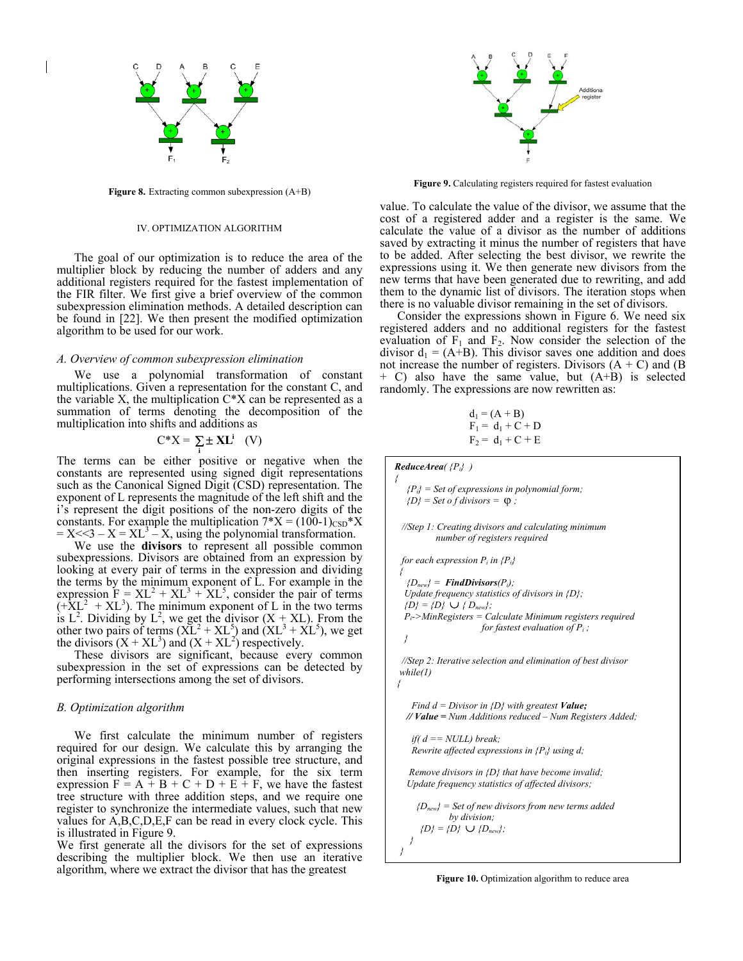

**Figure 8.** Extracting common subexpression (A+B)

#### IV. OPTIMIZATION ALGORITHM

The goal of our optimization is to reduce the area of the multiplier block by reducing the number of adders and any additional registers required for the fastest implementation of the FIR filter. We first give a brief overview of the common subexpression elimination methods. A detailed description can be found in [22]. We then present the modified optimization algorithm to be used for our work.

## *A. Overview of common subexpression elimination*

 We use a polynomial transformation of constant multiplications. Given a representation for the constant C, and the variable X, the multiplication  $C^*X$  can be represented as a summation of terms denoting the decomposition of the multiplication into shifts and additions as

$$
C^*X = \sum_i \pm \mathbf{XL}^i \quad (V)
$$

The terms can be either positive or negative when the constants are represented using signed digit representations such as the Canonical Signed Digit (CSD) representation. The exponent of L represents the magnitude of the left shift and the i's represent the digit positions of the non-zero digits of the constants. For example the multiplication  $7^*X = (100-1)_{CSD}^*X$  $= X \le 3 - X = XL^3 - X$ , using the polynomial transformation.

 We use the **divisors** to represent all possible common subexpressions. Divisors are obtained from an expression by looking at every pair of terms in the expression and dividing the terms by the minimum exponent of L. For example in the expression  $F = XL^2 + XL^3 + XL^5$ , consider the pair of terms  $(+XL<sup>2</sup> + XL<sup>3</sup>)$ . The minimum exponent of L in the two terms is  $L^2$ . Dividing by  $L^2$ , we get the divisor  $(X + XL)$ . From the other two pairs of terms  $(XL^2 + XL^5)$  and  $(XL^3 + XL^5)$ , we get the divisors  $(X + XL^3)$  and  $(X + XL^2)$  respectively.

 These divisors are significant, because every common subexpression in the set of expressions can be detected by performing intersections among the set of divisors.

## *B. Optimization algorithm*

 We first calculate the minimum number of registers required for our design. We calculate this by arranging the original expressions in the fastest possible tree structure, and then inserting registers. For example, for the six term expression  $F = A + B + C + D + E + F$ , we have the fastest tree structure with three addition steps, and we require one register to synchronize the intermediate values, such that new values for A,B,C,D,E,F can be read in every clock cycle. This is illustrated in Figure 9.

We first generate all the divisors for the set of expressions describing the multiplier block. We then use an iterative algorithm, where we extract the divisor that has the greatest



**Figure 9.** Calculating registers required for fastest evaluation

value. To calculate the value of the divisor, we assume that the cost of a registered adder and a register is the same. We calculate the value of a divisor as the number of additions saved by extracting it minus the number of registers that have to be added. After selecting the best divisor, we rewrite the expressions using it. We then generate new divisors from the new terms that have been generated due to rewriting, and add them to the dynamic list of divisors. The iteration stops when there is no valuable divisor remaining in the set of divisors.

Consider the expressions shown in Figure 6. We need six registered adders and no additional registers for the fastest evaluation of  $F_1$  and  $F_2$ . Now consider the selection of the divisor  $d_1 = (A+B)$ . This divisor saves one addition and does not increase the number of registers. Divisors  $(A + C)$  and  $(B)$ + C) also have the same value, but (A+B) is selected randomly. The expressions are now rewritten as:

$$
d1 = (A + B)F1 = d1 + C + DF2 = d1 + C + E
$$

*ReduceArea( {Pi} ) {* 

 *{Pi} = Set of expressions in polynomial form;*   $\{D\}$  = *Set of divisors* =  $\varphi$  *;* 

#### *//Step 1: Creating divisors and calculating minimum number of registers required*

 *for each expression Pi in {Pi} {* 

*}* 

$$
\{D_{new}\} = \text{FindDivisors}(P_i);
$$
\n
$$
Update frequency statistics of divisors in \{D\};
$$
\n
$$
\{D\} = \{D\} \cup \{D_{new}\};
$$
\n
$$
P_i > MinRegisters = Calculate Minimum registers required for fastest evaluation of P_i;
$$

 *//Step 2: Iterative selection and elimination of best divisor while(1) {* 

 *Find d = Divisor in {D} with greatest Value; // Value = Num Additions reduced – Num Registers Added;* 

 $if(d == NULL)$  break;  *Rewrite affected expressions in {Pi} using d;* 

 *Remove divisors in {D} that have become invalid; Update frequency statistics of affected divisors;* 

 *{Dnew} = Set of new divisors from new terms added by division; {D} = {D}* ∪ *{Dnew}; }* 

**Figure 10.** Optimization algorithm to reduce area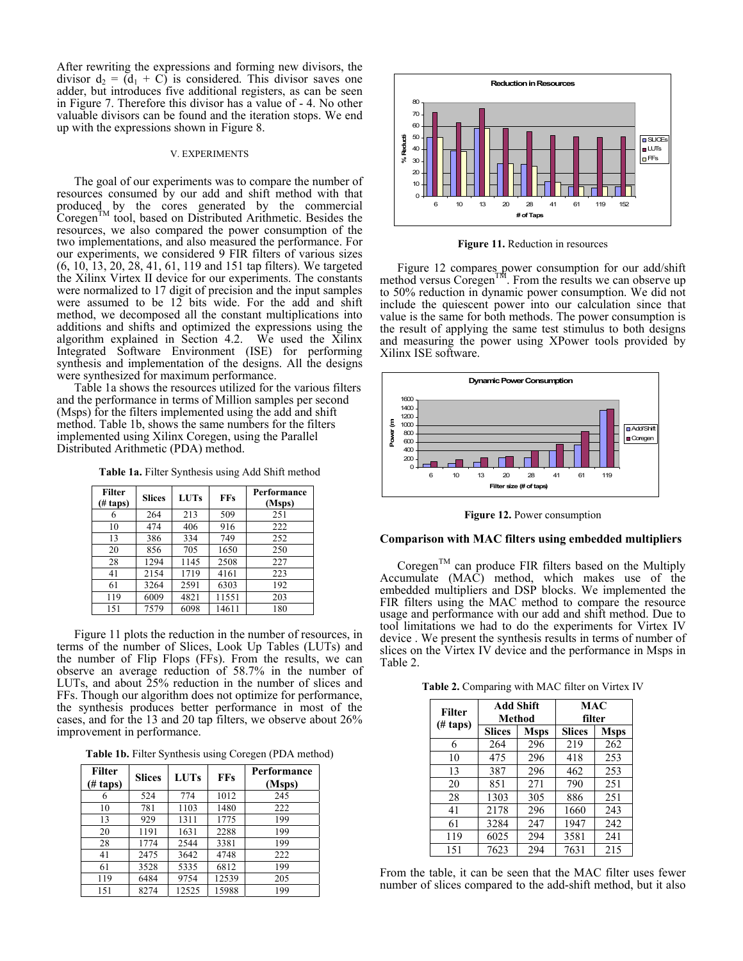After rewriting the expressions and forming new divisors, the divisor  $d_2 = (d_1 + C)$  is considered. This divisor saves one adder, but introduces five additional registers, as can be seen in Figure 7. Therefore this divisor has a value of - 4. No other valuable divisors can be found and the iteration stops. We end up with the expressions shown in Figure 8.

## V. EXPERIMENTS

 The goal of our experiments was to compare the number of resources consumed by our add and shift method with that produced by the cores generated by the commercial  $\text{Coregen}^{\text{TM}}$  tool, based on Distributed Arithmetic. Besides the resources, we also compared the power consumption of the two implementations, and also measured the performance. For our experiments, we considered 9 FIR filters of various sizes (6, 10, 13, 20, 28, 41, 61, 119 and 151 tap filters). We targeted the Xilinx Virtex II device for our experiments. The constants were normalized to 17 digit of precision and the input samples were assumed to be 12 bits wide. For the add and shift method, we decomposed all the constant multiplications into additions and shifts and optimized the expressions using the algorithm explained in Section 4.2. We used the Xilinx Integrated Software Environment (ISE) for performing synthesis and implementation of the designs. All the designs were synthesized for maximum performance.

 Table 1a shows the resources utilized for the various filters and the performance in terms of Million samples per second (Msps) for the filters implemented using the add and shift method. Table 1b, shows the same numbers for the filters implemented using Xilinx Coregen, using the Parallel Distributed Arithmetic (PDA) method.

**Table 1a.** Filter Synthesis using Add Shift method

| <b>Filter</b><br>$(\# \text{ taps})$ | <b>Slices</b> | <b>LUTs</b> | <b>FFs</b> | Performance<br>(Msps) |
|--------------------------------------|---------------|-------------|------------|-----------------------|
| 6                                    | 264           | 213         | 509        | 251                   |
| 10                                   | 474           | 406         | 916        | 222                   |
| 13                                   | 386           | 334         | 749        | 252                   |
| 20                                   | 856           | 705         | 1650       | 250                   |
| 28                                   | 1294          | 1145        | 2508       | 227                   |
| 41                                   | 2154          | 1719        | 4161       | 223                   |
| 61                                   | 3264          | 2591        | 6303       | 192                   |
| 119                                  | 6009          | 4821        | 11551      | 203                   |
| 151                                  | 7579          | 6098        | 14611      | 180                   |

Figure 11 plots the reduction in the number of resources, in terms of the number of Slices, Look Up Tables (LUTs) and the number of Flip Flops (FFs). From the results, we can observe an average reduction of 58.7% in the number of LUTs, and about 25% reduction in the number of slices and FFs. Though our algorithm does not optimize for performance, the synthesis produces better performance in most of the cases, and for the 13 and 20 tap filters, we observe about 26% improvement in performance.

**Table 1b.** Filter Synthesis using Coregen (PDA method)

| Filter<br>$(\# \text{ taps})$ | <b>Slices</b> | <b>LUTs</b> | <b>FFs</b> | Performance<br>(Msps) |
|-------------------------------|---------------|-------------|------------|-----------------------|
| 6                             | 524           | 774         | 1012       | 245                   |
| 10                            | 781           | 1103        | 1480       | 222                   |
| 13                            | 929           | 1311        | 1775       | 199                   |
| 20                            | 1191          | 1631        | 2288       | 199                   |
| 28                            | 1774          | 2544        | 3381       | 199                   |
| 41                            | 2475          | 3642        | 4748       | 222                   |
| 61                            | 3528          | 5335        | 6812       | 199                   |
| 119                           | 6484          | 9754        | 12539      | 205                   |
| 151                           | 8274          | 12525       | 15988      | 199                   |



**Figure 11.** Reduction in resources

Figure 12 compares power consumption for our add/shift method versus Coregen<sup>TM</sup>. From the results we can observe up to 50% reduction in dynamic power consumption. We did not include the quiescent power into our calculation since that value is the same for both methods. The power consumption is the result of applying the same test stimulus to both designs and measuring the power using XPower tools provided by Xilinx ISE software.



**Figure 12.** Power consumption

# **Comparison with MAC filters using embedded multipliers**

 $\text{Coregen}^{\text{TM}}$  can produce FIR filters based on the Multiply Accumulate (MAC) method, which makes use of the embedded multipliers and DSP blocks. We implemented the FIR filters using the MAC method to compare the resource usage and performance with our add and shift method. Due to tool limitations we had to do the experiments for Virtex IV device . We present the synthesis results in terms of number of slices on the Virtex IV device and the performance in Msps in Table 2.

**Table 2.** Comparing with MAC filter on Virtex IV

| Filter<br>$(# \text{ taps})$ | <b>Add Shift</b><br><b>Method</b> |             | <b>MAC</b><br>filter |             |  |
|------------------------------|-----------------------------------|-------------|----------------------|-------------|--|
|                              | <b>Slices</b>                     | <b>Msps</b> | <b>Slices</b>        | <b>Msps</b> |  |
| 6                            | 264                               | 296         | 219                  | 262         |  |
| 10                           | 475                               | 296         | 418                  | 253         |  |
| 13                           | 387                               | 296         | 462                  | 253         |  |
| 20                           | 851                               | 271         | 790                  | 251         |  |
| 28                           | 1303                              | 305         | 886                  | 251         |  |
| 41                           | 2178                              | 296         | 1660                 | 243         |  |
| 61                           | 3284                              | 247         | 1947                 | 242         |  |
| 119                          | 6025                              | 294         | 3581                 | 241         |  |
| 151                          | 7623                              | 294         | 7631                 | 215         |  |

From the table, it can be seen that the MAC filter uses fewer number of slices compared to the add-shift method, but it also